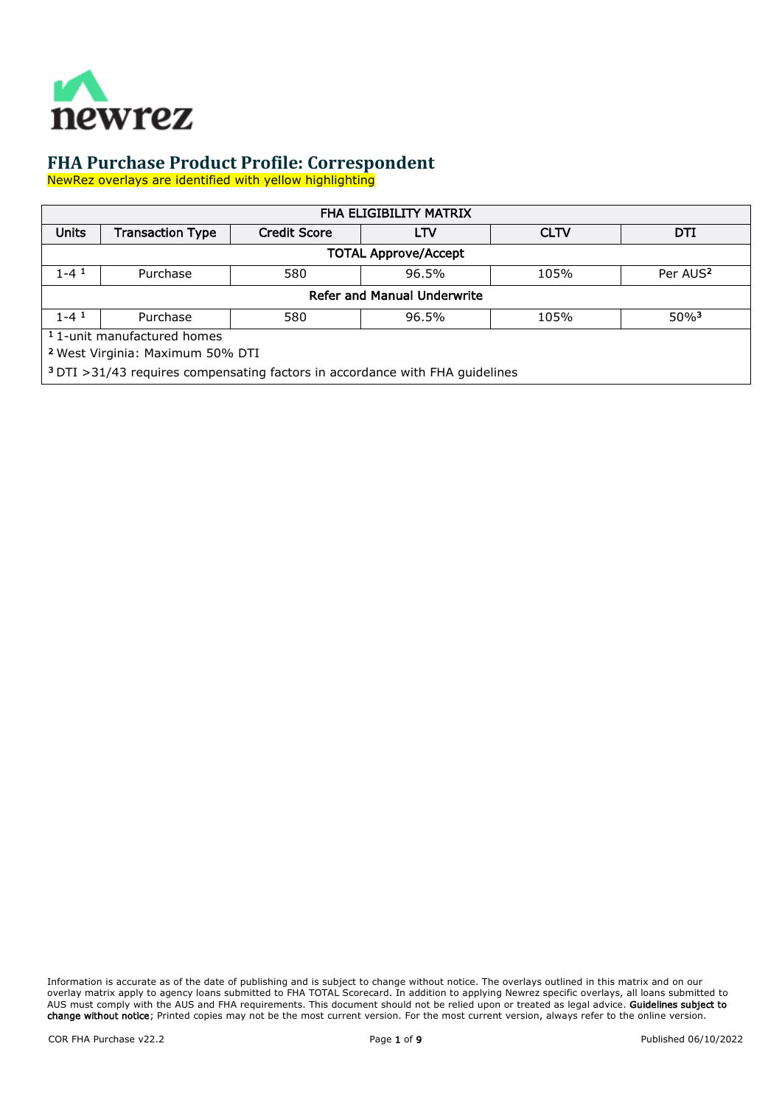

NewRez overlays are identified with yellow highlighting

| FHA ELIGIBILITY MATRIX                                                                   |                         |                     |       |             |                      |  |
|------------------------------------------------------------------------------------------|-------------------------|---------------------|-------|-------------|----------------------|--|
| <b>Units</b>                                                                             | <b>Transaction Type</b> | <b>Credit Score</b> | LTV   | <b>CLTV</b> | DTI                  |  |
| <b>TOTAL Approve/Accept</b>                                                              |                         |                     |       |             |                      |  |
| $1 - 4$ <sup>1</sup>                                                                     | Purchase                | 580                 | 96.5% | 105%        | Per AUS <sup>2</sup> |  |
| <b>Refer and Manual Underwrite</b>                                                       |                         |                     |       |             |                      |  |
| $1 - 4$ 1                                                                                | Purchase                | 580                 | 96.5% | 105%        | $50\%$ <sup>3</sup>  |  |
| <sup>1</sup> 1-unit manufactured homes                                                   |                         |                     |       |             |                      |  |
| <sup>2</sup> West Virginia: Maximum 50% DTI                                              |                         |                     |       |             |                      |  |
| <sup>3</sup> DTI > 31/43 requires compensating factors in accordance with FHA guidelines |                         |                     |       |             |                      |  |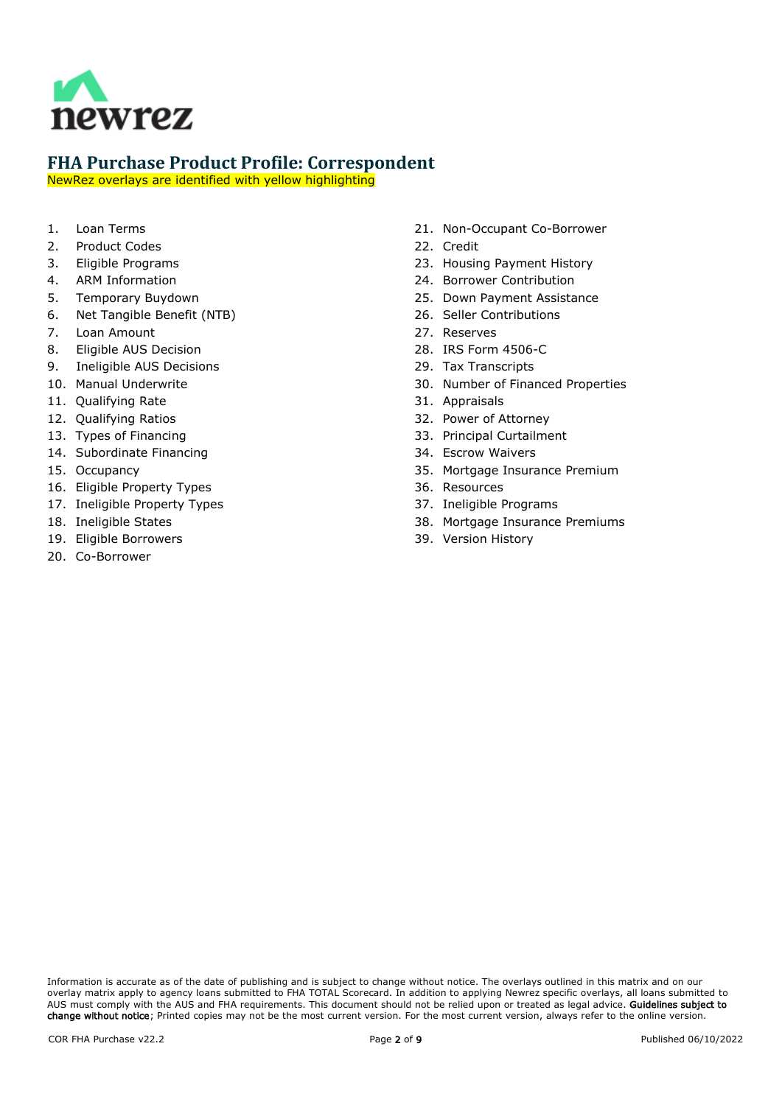

NewRez overlays are identified with yellow highlighting

- 1. [Loan Terms](#page-2-0)
- 2. [Product Codes](#page-2-1)
- 3. [Eligible Programs](#page-2-2)
- 4. [ARM Information](#page-2-3)
- 5. [Temporary Buydown](#page-2-4)
- 6. [Net Tangible Benefit \(NTB\)](#page-2-5)
- 7. [Loan Amount](#page-2-6)
- 8. [Eligible AUS Decision](#page-2-7)
- 9. [Ineligible AUS Decisions](#page-2-8)
- 10. [Manual Underwrite](#page-2-9)
- 11. [Qualifying Rate](#page-2-10)
- 12. [Qualifying Ratios](#page-3-0)
- 13. [Types of Financing](#page-3-1)
- 14. [Subordinate Financing](#page-3-2)
- 15. [Occupancy](#page-3-3)
- 16. [Eligible Property Types](#page-4-0)
- 17. [Ineligible Property Types](#page-4-1)
- 18. [Ineligible States](#page-4-2)
- 19. [Eligible Borrowers](#page-4-3)
- 20. [Co-Borrower](#page-4-4)
- 21. [Non-Occupant Co-Borrower](#page-4-5)
- 22. [Credit](#page-4-6)
- 23. [Housing Payment History](#page-4-7)
- 24. [Borrower Contribution](#page-5-0)
- 25. [Down Payment Assistance](#page-5-1)
- 26. [Seller Contributions](#page-5-2)
- 27. [Reserves](#page-5-3)
- 28. [IRS Form 4506-C](#page-5-4)
- 29. [Tax Transcripts](#page-5-5)
- 30. [Number of Financed Properties](#page-5-6)
- 31. [Appraisals](#page-5-7)
- 32. [Power of Attorney](#page-6-0)
- 33. [Principal Curtailment](#page-6-1)
- 34. [Escrow Waivers](#page-6-2)
- 35. [Mortgage Insurance Premium](#page-6-3)
- 36. [Resources](#page-6-4)
- 37. [Ineligible Programs](#page-6-5)
- 38. [Mortgage Insurance Premiums](#page-7-0)
- 39. [Version History](#page-8-0)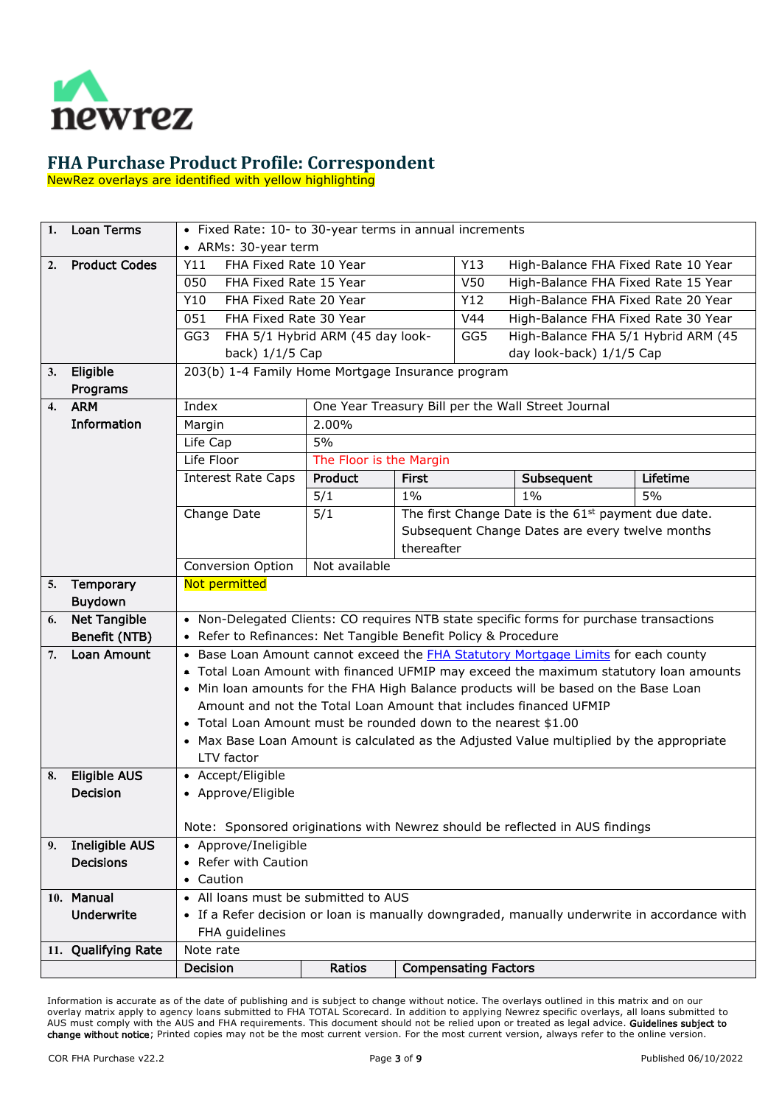

NewRez overlays are identified with yellow highlighting

<span id="page-2-10"></span><span id="page-2-9"></span><span id="page-2-8"></span><span id="page-2-7"></span><span id="page-2-6"></span><span id="page-2-5"></span><span id="page-2-4"></span><span id="page-2-3"></span><span id="page-2-2"></span><span id="page-2-1"></span><span id="page-2-0"></span>

| 1.           | <b>Loan Terms</b>    | • Fixed Rate: 10- to 30-year terms in annual increments                                                |                                  |                 |                                                                 |                                                    |          |
|--------------|----------------------|--------------------------------------------------------------------------------------------------------|----------------------------------|-----------------|-----------------------------------------------------------------|----------------------------------------------------|----------|
|              |                      | • ARMs: 30-year term                                                                                   |                                  |                 |                                                                 |                                                    |          |
| 2.           | <b>Product Codes</b> | Y11<br>FHA Fixed Rate 10 Year                                                                          |                                  | Y13             | High-Balance FHA Fixed Rate 10 Year                             |                                                    |          |
|              |                      | 050<br>FHA Fixed Rate 15 Year                                                                          |                                  | V <sub>50</sub> | High-Balance FHA Fixed Rate 15 Year                             |                                                    |          |
|              |                      | Y10<br>FHA Fixed Rate 20 Year                                                                          |                                  |                 | High-Balance FHA Fixed Rate 20 Year<br>Y12                      |                                                    |          |
|              |                      | $\overline{051}$<br>FHA Fixed Rate 30 Year                                                             |                                  |                 | V44                                                             | High-Balance FHA Fixed Rate 30 Year                |          |
|              |                      | GG3                                                                                                    | FHA 5/1 Hybrid ARM (45 day look- |                 | GG5                                                             | High-Balance FHA 5/1 Hybrid ARM (45                |          |
|              |                      | back) 1/1/5 Cap                                                                                        |                                  |                 | day look-back) 1/1/5 Cap                                        |                                                    |          |
| 3.           | Eligible             | 203(b) 1-4 Family Home Mortgage Insurance program                                                      |                                  |                 |                                                                 |                                                    |          |
|              | Programs             |                                                                                                        |                                  |                 |                                                                 |                                                    |          |
| $\mathbf{4}$ | <b>ARM</b>           | Index                                                                                                  |                                  |                 |                                                                 | One Year Treasury Bill per the Wall Street Journal |          |
|              | Information          | Margin                                                                                                 | 2.00%                            |                 |                                                                 |                                                    |          |
|              |                      | Life Cap                                                                                               | 5%                               |                 |                                                                 |                                                    |          |
|              |                      | Life Floor                                                                                             | The Floor is the Margin          |                 |                                                                 |                                                    |          |
|              |                      | <b>Interest Rate Caps</b>                                                                              | Product                          | <b>First</b>    |                                                                 | Subsequent                                         | Lifetime |
|              |                      |                                                                                                        | 5/1                              | $1\%$           |                                                                 | $1\%$                                              | 5%       |
|              |                      | Change Date                                                                                            | $\overline{5/1}$                 |                 | The first Change Date is the 61 <sup>st</sup> payment due date. |                                                    |          |
|              |                      |                                                                                                        |                                  |                 | Subsequent Change Dates are every twelve months                 |                                                    |          |
|              |                      |                                                                                                        |                                  | thereafter      |                                                                 |                                                    |          |
|              |                      | <b>Conversion Option</b>                                                                               | Not available                    |                 |                                                                 |                                                    |          |
| 5.           | Temporary            | Not permitted                                                                                          |                                  |                 |                                                                 |                                                    |          |
|              | Buydown              |                                                                                                        |                                  |                 |                                                                 |                                                    |          |
| 6.           | <b>Net Tangible</b>  | • Non-Delegated Clients: CO requires NTB state specific forms for purchase transactions                |                                  |                 |                                                                 |                                                    |          |
|              | Benefit (NTB)        | • Refer to Refinances: Net Tangible Benefit Policy & Procedure                                         |                                  |                 |                                                                 |                                                    |          |
| 7.           | Loan Amount          | • Base Loan Amount cannot exceed the FHA Statutory Mortgage Limits for each county                     |                                  |                 |                                                                 |                                                    |          |
|              |                      | • Total Loan Amount with financed UFMIP may exceed the maximum statutory loan amounts                  |                                  |                 |                                                                 |                                                    |          |
|              |                      | . Min loan amounts for the FHA High Balance products will be based on the Base Loan                    |                                  |                 |                                                                 |                                                    |          |
|              |                      | Amount and not the Total Loan Amount that includes financed UFMIP                                      |                                  |                 |                                                                 |                                                    |          |
|              |                      | • Total Loan Amount must be rounded down to the nearest \$1.00                                         |                                  |                 |                                                                 |                                                    |          |
|              |                      | • Max Base Loan Amount is calculated as the Adjusted Value multiplied by the appropriate<br>LTV factor |                                  |                 |                                                                 |                                                    |          |
| 8.           | <b>Eligible AUS</b>  | • Accept/Eligible                                                                                      |                                  |                 |                                                                 |                                                    |          |
|              | <b>Decision</b>      | • Approve/Eligible                                                                                     |                                  |                 |                                                                 |                                                    |          |
|              |                      |                                                                                                        |                                  |                 |                                                                 |                                                    |          |
|              |                      | Note: Sponsored originations with Newrez should be reflected in AUS findings                           |                                  |                 |                                                                 |                                                    |          |
|              | 9. Ineligible AUS    | • Approve/Ineligible                                                                                   |                                  |                 |                                                                 |                                                    |          |
|              | <b>Decisions</b>     | • Refer with Caution                                                                                   |                                  |                 |                                                                 |                                                    |          |
|              |                      | • Caution                                                                                              |                                  |                 |                                                                 |                                                    |          |
|              | 10. Manual           | • All loans must be submitted to AUS                                                                   |                                  |                 |                                                                 |                                                    |          |
|              | <b>Underwrite</b>    | • If a Refer decision or loan is manually downgraded, manually underwrite in accordance with           |                                  |                 |                                                                 |                                                    |          |
|              |                      | FHA guidelines                                                                                         |                                  |                 |                                                                 |                                                    |          |
|              | 11. Qualifying Rate  | Note rate                                                                                              |                                  |                 |                                                                 |                                                    |          |
|              |                      | Decision                                                                                               | Ratios                           |                 | <b>Compensating Factors</b>                                     |                                                    |          |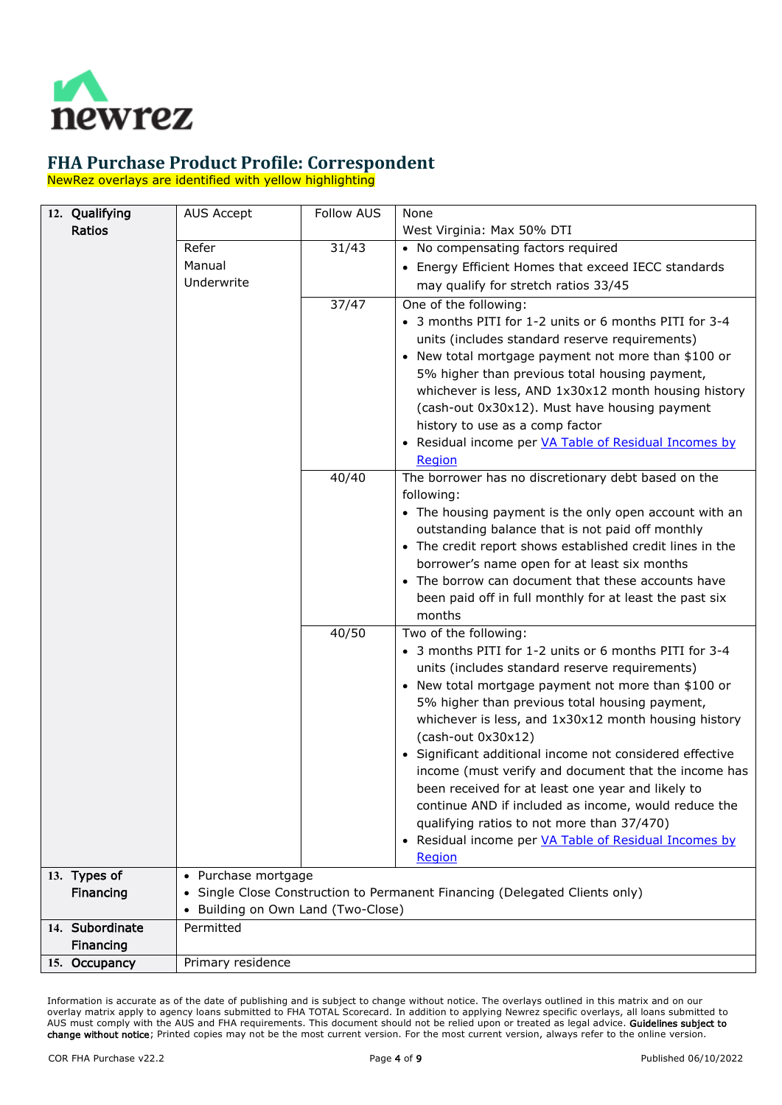

NewRez overlays are identified with yellow highlighting

<span id="page-3-3"></span><span id="page-3-2"></span><span id="page-3-1"></span><span id="page-3-0"></span>

| 12. Qualifying  | <b>AUS Accept</b>                  | <b>Follow AUS</b> | None                                                                                                       |  |
|-----------------|------------------------------------|-------------------|------------------------------------------------------------------------------------------------------------|--|
| Ratios          | West Virginia: Max 50% DTI         |                   |                                                                                                            |  |
|                 | Refer<br>31/43                     |                   | • No compensating factors required                                                                         |  |
|                 | Manual                             |                   | • Energy Efficient Homes that exceed IECC standards                                                        |  |
|                 | Underwrite                         |                   | may qualify for stretch ratios 33/45                                                                       |  |
|                 |                                    | 37/47             | One of the following:                                                                                      |  |
|                 |                                    |                   | • 3 months PITI for 1-2 units or 6 months PITI for 3-4                                                     |  |
|                 |                                    |                   | units (includes standard reserve requirements)                                                             |  |
|                 |                                    |                   | • New total mortgage payment not more than \$100 or<br>5% higher than previous total housing payment,      |  |
|                 |                                    |                   | whichever is less, AND 1x30x12 month housing history                                                       |  |
|                 |                                    |                   | (cash-out 0x30x12). Must have housing payment                                                              |  |
|                 |                                    |                   | history to use as a comp factor                                                                            |  |
|                 |                                    |                   | • Residual income per VA Table of Residual Incomes by                                                      |  |
|                 |                                    |                   | Region                                                                                                     |  |
|                 |                                    | 40/40             | The borrower has no discretionary debt based on the                                                        |  |
|                 |                                    |                   | following:                                                                                                 |  |
|                 |                                    |                   | • The housing payment is the only open account with an<br>outstanding balance that is not paid off monthly |  |
|                 |                                    |                   | • The credit report shows established credit lines in the                                                  |  |
|                 |                                    |                   | borrower's name open for at least six months                                                               |  |
|                 |                                    |                   | • The borrow can document that these accounts have                                                         |  |
|                 |                                    |                   | been paid off in full monthly for at least the past six                                                    |  |
|                 |                                    |                   | months                                                                                                     |  |
|                 |                                    | 40/50             | Two of the following:                                                                                      |  |
|                 |                                    |                   | • 3 months PITI for 1-2 units or 6 months PITI for 3-4                                                     |  |
|                 |                                    |                   | units (includes standard reserve requirements)                                                             |  |
|                 |                                    |                   | • New total mortgage payment not more than \$100 or<br>5% higher than previous total housing payment,      |  |
|                 |                                    |                   | whichever is less, and 1x30x12 month housing history                                                       |  |
|                 |                                    |                   | $(cash-out 0x30x12)$                                                                                       |  |
|                 |                                    |                   | • Significant additional income not considered effective                                                   |  |
|                 |                                    |                   | income (must verify and document that the income has                                                       |  |
|                 |                                    |                   | been received for at least one year and likely to                                                          |  |
|                 |                                    |                   | continue AND if included as income, would reduce the                                                       |  |
|                 |                                    |                   | qualifying ratios to not more than 37/470)                                                                 |  |
|                 |                                    |                   | • Residual income per VA Table of Residual Incomes by                                                      |  |
| 13. Types of    | • Purchase mortgage                |                   | Region                                                                                                     |  |
| Financing       |                                    |                   | Single Close Construction to Permanent Financing (Delegated Clients only)                                  |  |
|                 | • Building on Own Land (Two-Close) |                   |                                                                                                            |  |
| 14. Subordinate | Permitted                          |                   |                                                                                                            |  |
| Financing       |                                    |                   |                                                                                                            |  |
| 15. Occupancy   | Primary residence                  |                   |                                                                                                            |  |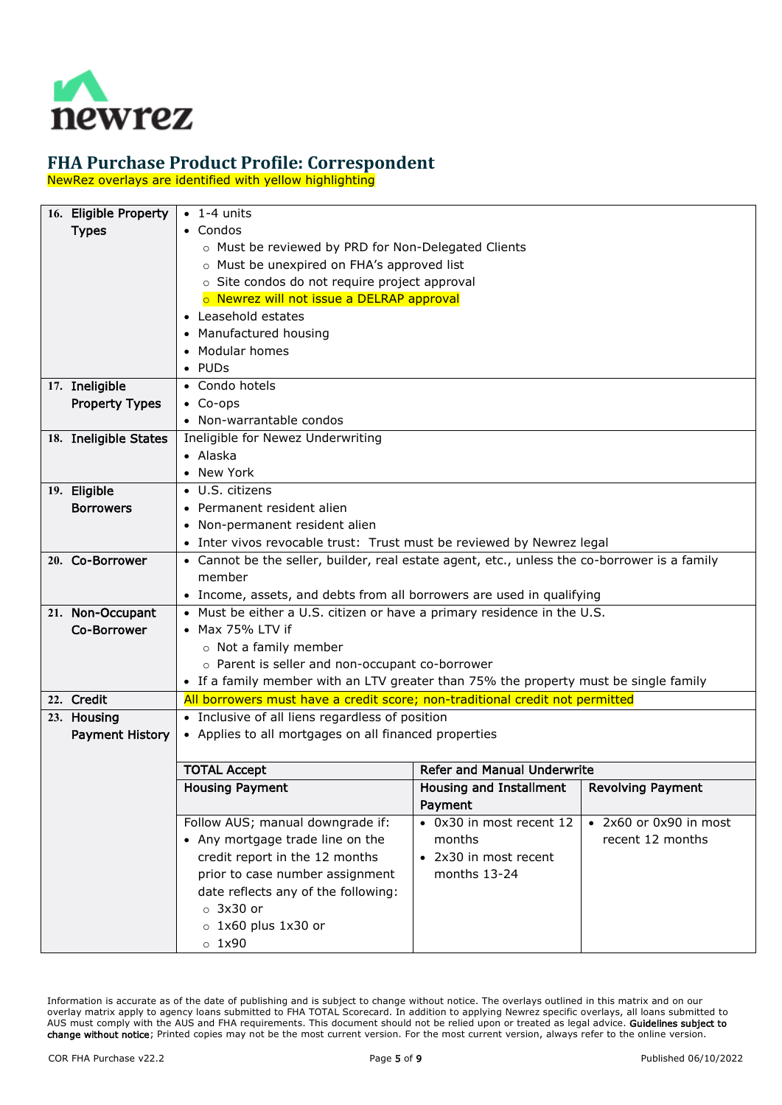

NewRez overlays are identified with yellow highlighting

<span id="page-4-7"></span><span id="page-4-6"></span><span id="page-4-5"></span><span id="page-4-4"></span><span id="page-4-3"></span><span id="page-4-2"></span><span id="page-4-1"></span><span id="page-4-0"></span>

| 16. Eligible Property  | $\bullet$ 1-4 units                                                                          |                                            |                          |  |  |  |
|------------------------|----------------------------------------------------------------------------------------------|--------------------------------------------|--------------------------|--|--|--|
| <b>Types</b>           | $\bullet$ Condos                                                                             |                                            |                          |  |  |  |
|                        | o Must be reviewed by PRD for Non-Delegated Clients                                          |                                            |                          |  |  |  |
|                        |                                                                                              | o Must be unexpired on FHA's approved list |                          |  |  |  |
|                        | o Site condos do not require project approval                                                |                                            |                          |  |  |  |
|                        |                                                                                              | o Newrez will not issue a DELRAP approval  |                          |  |  |  |
|                        | Leasehold estates                                                                            |                                            |                          |  |  |  |
|                        | • Manufactured housing                                                                       |                                            |                          |  |  |  |
|                        | Modular homes                                                                                |                                            |                          |  |  |  |
|                        | • PUDs                                                                                       |                                            |                          |  |  |  |
| 17. Ineligible         | • Condo hotels                                                                               |                                            |                          |  |  |  |
| <b>Property Types</b>  | $\bullet$ Co-ops                                                                             |                                            |                          |  |  |  |
|                        | • Non-warrantable condos                                                                     |                                            |                          |  |  |  |
| 18. Ineligible States  | Ineligible for Newez Underwriting                                                            |                                            |                          |  |  |  |
|                        | • Alaska                                                                                     |                                            |                          |  |  |  |
|                        | • New York                                                                                   |                                            |                          |  |  |  |
| 19. Eligible           | • U.S. citizens                                                                              |                                            |                          |  |  |  |
| <b>Borrowers</b>       | • Permanent resident alien                                                                   |                                            |                          |  |  |  |
|                        | • Non-permanent resident alien                                                               |                                            |                          |  |  |  |
|                        | • Inter vivos revocable trust: Trust must be reviewed by Newrez legal                        |                                            |                          |  |  |  |
| 20. Co-Borrower        | • Cannot be the seller, builder, real estate agent, etc., unless the co-borrower is a family |                                            |                          |  |  |  |
|                        | member                                                                                       |                                            |                          |  |  |  |
|                        | • Income, assets, and debts from all borrowers are used in qualifying                        |                                            |                          |  |  |  |
| 21. Non-Occupant       | • Must be either a U.S. citizen or have a primary residence in the U.S.                      |                                            |                          |  |  |  |
| Co-Borrower            | • Max 75% LTV if                                                                             |                                            |                          |  |  |  |
|                        | o Not a family member                                                                        |                                            |                          |  |  |  |
|                        | o Parent is seller and non-occupant co-borrower                                              |                                            |                          |  |  |  |
|                        | • If a family member with an LTV greater than 75% the property must be single family         |                                            |                          |  |  |  |
| 22. Credit             | All borrowers must have a credit score; non-traditional credit not permitted                 |                                            |                          |  |  |  |
| 23. Housing            | • Inclusive of all liens regardless of position                                              |                                            |                          |  |  |  |
| <b>Payment History</b> | • Applies to all mortgages on all financed properties                                        |                                            |                          |  |  |  |
|                        |                                                                                              |                                            |                          |  |  |  |
|                        | <b>TOTAL Accept</b><br><b>Refer and Manual Underwrite</b>                                    |                                            |                          |  |  |  |
|                        | <b>Housing Payment</b>                                                                       | <b>Housing and Installment</b>             | <b>Revolving Payment</b> |  |  |  |
|                        |                                                                                              | Payment                                    |                          |  |  |  |
|                        | Follow AUS; manual downgrade if:                                                             | • 0x30 in most recent 12                   | • 2x60 or 0x90 in most   |  |  |  |
|                        | • Any mortgage trade line on the                                                             | months                                     | recent 12 months         |  |  |  |
|                        | credit report in the 12 months                                                               | • 2x30 in most recent                      |                          |  |  |  |
|                        | prior to case number assignment                                                              | months 13-24                               |                          |  |  |  |
|                        | date reflects any of the following:                                                          |                                            |                          |  |  |  |
|                        | $\circ$ 3x30 or                                                                              |                                            |                          |  |  |  |
|                        | $\circ$ 1x60 plus 1x30 or                                                                    |                                            |                          |  |  |  |
|                        | $0$ 1x90                                                                                     |                                            |                          |  |  |  |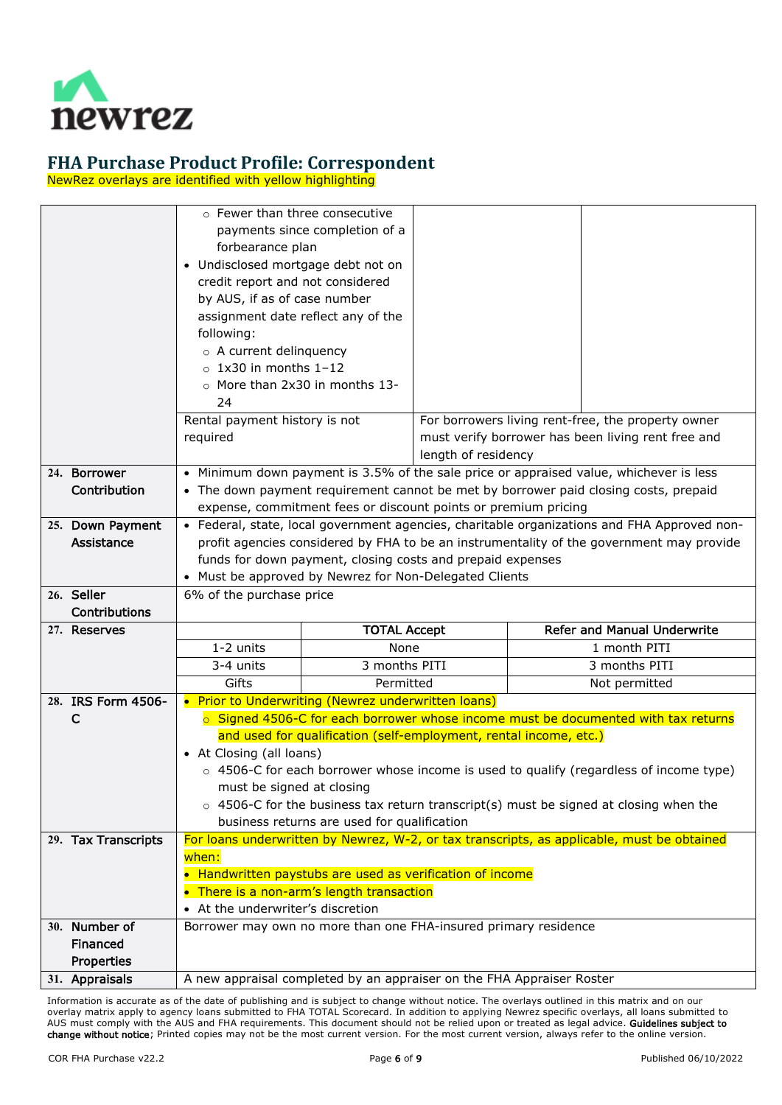

NewRez overlays are identified with yellow highlighting

<span id="page-5-7"></span><span id="page-5-6"></span><span id="page-5-5"></span><span id="page-5-4"></span><span id="page-5-3"></span><span id="page-5-2"></span><span id="page-5-1"></span><span id="page-5-0"></span>

|                     | o Fewer than three consecutive<br>forbearance plan                                                                   | payments since completion of a                                    |                     |  |                                                                                        |
|---------------------|----------------------------------------------------------------------------------------------------------------------|-------------------------------------------------------------------|---------------------|--|----------------------------------------------------------------------------------------|
|                     | Undisclosed mortgage debt not on                                                                                     |                                                                   |                     |  |                                                                                        |
|                     | credit report and not considered                                                                                     |                                                                   |                     |  |                                                                                        |
|                     | by AUS, if as of case number                                                                                         |                                                                   |                     |  |                                                                                        |
|                     | assignment date reflect any of the                                                                                   |                                                                   |                     |  |                                                                                        |
|                     | following:                                                                                                           |                                                                   |                     |  |                                                                                        |
|                     | o A current delinquency                                                                                              |                                                                   |                     |  |                                                                                        |
|                     | $\circ$ 1x30 in months 1-12                                                                                          |                                                                   |                     |  |                                                                                        |
|                     | o More than 2x30 in months 13-                                                                                       |                                                                   |                     |  |                                                                                        |
|                     | 24                                                                                                                   |                                                                   |                     |  |                                                                                        |
|                     | Rental payment history is not                                                                                        |                                                                   |                     |  | For borrowers living rent-free, the property owner                                     |
|                     | required                                                                                                             |                                                                   |                     |  | must verify borrower has been living rent free and                                     |
|                     |                                                                                                                      |                                                                   | length of residency |  |                                                                                        |
| 24. Borrower        |                                                                                                                      |                                                                   |                     |  | • Minimum down payment is 3.5% of the sale price or appraised value, whichever is less |
| Contribution        |                                                                                                                      |                                                                   |                     |  | • The down payment requirement cannot be met by borrower paid closing costs, prepaid   |
|                     |                                                                                                                      | expense, commitment fees or discount points or premium pricing    |                     |  |                                                                                        |
| 25. Down Payment    | • Federal, state, local government agencies, charitable organizations and FHA Approved non-                          |                                                                   |                     |  |                                                                                        |
| Assistance          | profit agencies considered by FHA to be an instrumentality of the government may provide                             |                                                                   |                     |  |                                                                                        |
|                     | funds for down payment, closing costs and prepaid expenses<br>• Must be approved by Newrez for Non-Delegated Clients |                                                                   |                     |  |                                                                                        |
| 26. Seller          | 6% of the purchase price                                                                                             |                                                                   |                     |  |                                                                                        |
| Contributions       |                                                                                                                      |                                                                   |                     |  |                                                                                        |
| 27. Reserves        |                                                                                                                      | <b>TOTAL Accept</b>                                               |                     |  | <b>Refer and Manual Underwrite</b>                                                     |
|                     | 1-2 units                                                                                                            | None                                                              |                     |  | 1 month PITI                                                                           |
|                     | 3-4 units                                                                                                            | 3 months PITI                                                     |                     |  | 3 months PITI                                                                          |
|                     | Gifts                                                                                                                | Permitted                                                         |                     |  | Not permitted                                                                          |
| 28. IRS Form 4506-  | • Prior to Underwriting (Newrez underwritten loans)                                                                  |                                                                   |                     |  |                                                                                        |
| $\mathsf{C}$        |                                                                                                                      |                                                                   |                     |  | o Signed 4506-C for each borrower whose income must be documented with tax returns     |
|                     |                                                                                                                      | and used for qualification (self-employment, rental income, etc.) |                     |  |                                                                                        |
|                     | • At Closing (all loans)                                                                                             |                                                                   |                     |  |                                                                                        |
|                     |                                                                                                                      |                                                                   |                     |  | o 4506-C for each borrower whose income is used to qualify (regardless of income type) |
|                     | must be sianed at closing                                                                                            |                                                                   |                     |  |                                                                                        |
|                     | $\circ$ 4506-C for the business tax return transcript(s) must be signed at closing when the                          |                                                                   |                     |  |                                                                                        |
| 29. Tax Transcripts | business returns are used for qualification                                                                          |                                                                   |                     |  |                                                                                        |
|                     | For loans underwritten by Newrez, W-2, or tax transcripts, as applicable, must be obtained<br>when:                  |                                                                   |                     |  |                                                                                        |
|                     | • Handwritten paystubs are used as verification of income                                                            |                                                                   |                     |  |                                                                                        |
|                     | • There is a non-arm's length transaction                                                                            |                                                                   |                     |  |                                                                                        |
|                     | • At the underwriter's discretion                                                                                    |                                                                   |                     |  |                                                                                        |
| 30. Number of       | Borrower may own no more than one FHA-insured primary residence                                                      |                                                                   |                     |  |                                                                                        |
| <b>Financed</b>     |                                                                                                                      |                                                                   |                     |  |                                                                                        |
| Properties          |                                                                                                                      |                                                                   |                     |  |                                                                                        |
| 31. Appraisals      | A new appraisal completed by an appraiser on the FHA Appraiser Roster                                                |                                                                   |                     |  |                                                                                        |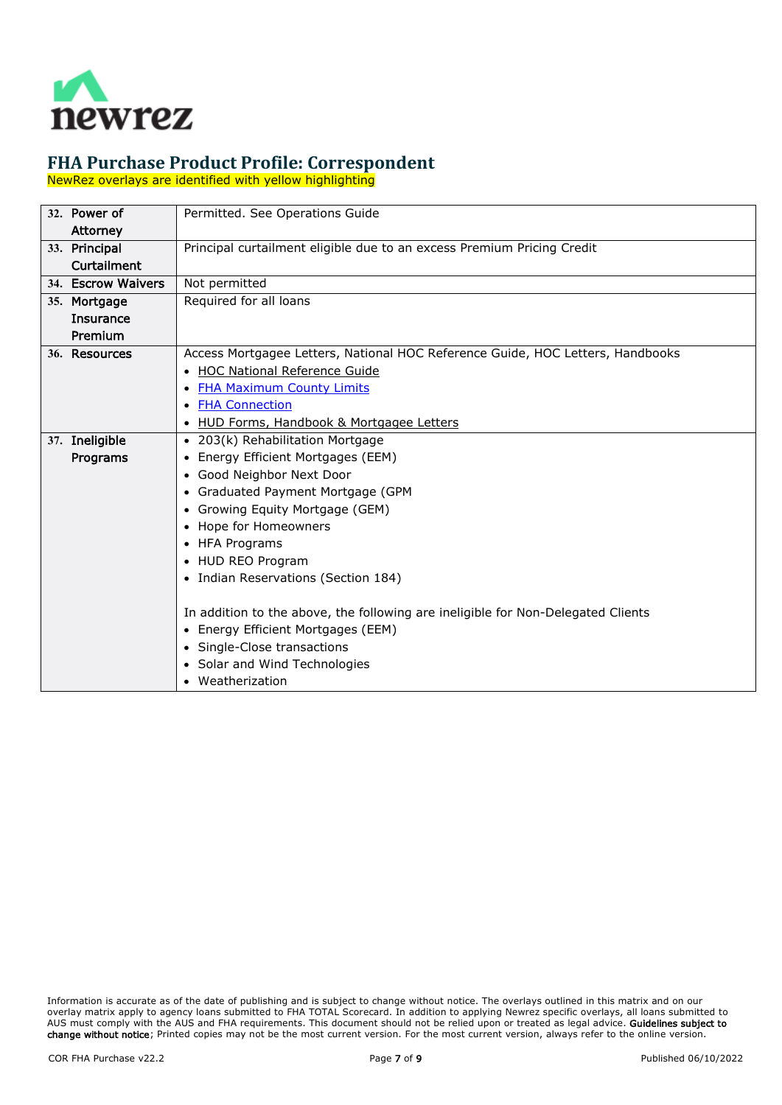

NewRez overlays are identified with yellow highlighting

<span id="page-6-5"></span><span id="page-6-4"></span><span id="page-6-3"></span><span id="page-6-2"></span><span id="page-6-1"></span><span id="page-6-0"></span>

| 32. Power of       | Permitted. See Operations Guide                                                  |  |  |  |  |  |
|--------------------|----------------------------------------------------------------------------------|--|--|--|--|--|
| <b>Attorney</b>    |                                                                                  |  |  |  |  |  |
| 33. Principal      | Principal curtailment eligible due to an excess Premium Pricing Credit           |  |  |  |  |  |
| <b>Curtailment</b> |                                                                                  |  |  |  |  |  |
| 34. Escrow Waivers | Not permitted                                                                    |  |  |  |  |  |
| 35. Mortgage       | Required for all loans                                                           |  |  |  |  |  |
| <b>Insurance</b>   |                                                                                  |  |  |  |  |  |
| Premium            |                                                                                  |  |  |  |  |  |
| 36. Resources      | Access Mortgagee Letters, National HOC Reference Guide, HOC Letters, Handbooks   |  |  |  |  |  |
|                    | <b>HOC National Reference Guide</b>                                              |  |  |  |  |  |
|                    | <b>FHA Maximum County Limits</b><br>$\bullet$                                    |  |  |  |  |  |
|                    | <b>FHA Connection</b><br>$\bullet$                                               |  |  |  |  |  |
|                    | HUD Forms, Handbook & Mortgagee Letters                                          |  |  |  |  |  |
| 37. Ineligible     | • 203(k) Rehabilitation Mortgage                                                 |  |  |  |  |  |
| Programs           | • Energy Efficient Mortgages (EEM)                                               |  |  |  |  |  |
|                    | Good Neighbor Next Door<br>$\bullet$                                             |  |  |  |  |  |
|                    | Graduated Payment Mortgage (GPM<br>$\bullet$                                     |  |  |  |  |  |
|                    | Growing Equity Mortgage (GEM)<br>$\bullet$                                       |  |  |  |  |  |
|                    | Hope for Homeowners                                                              |  |  |  |  |  |
|                    | <b>HFA Programs</b>                                                              |  |  |  |  |  |
|                    | HUD REO Program                                                                  |  |  |  |  |  |
|                    | • Indian Reservations (Section 184)                                              |  |  |  |  |  |
|                    |                                                                                  |  |  |  |  |  |
|                    | In addition to the above, the following are ineligible for Non-Delegated Clients |  |  |  |  |  |
|                    | • Energy Efficient Mortgages (EEM)                                               |  |  |  |  |  |
|                    | • Single-Close transactions                                                      |  |  |  |  |  |
|                    | Solar and Wind Technologies                                                      |  |  |  |  |  |
|                    | Weatherization<br>$\bullet$                                                      |  |  |  |  |  |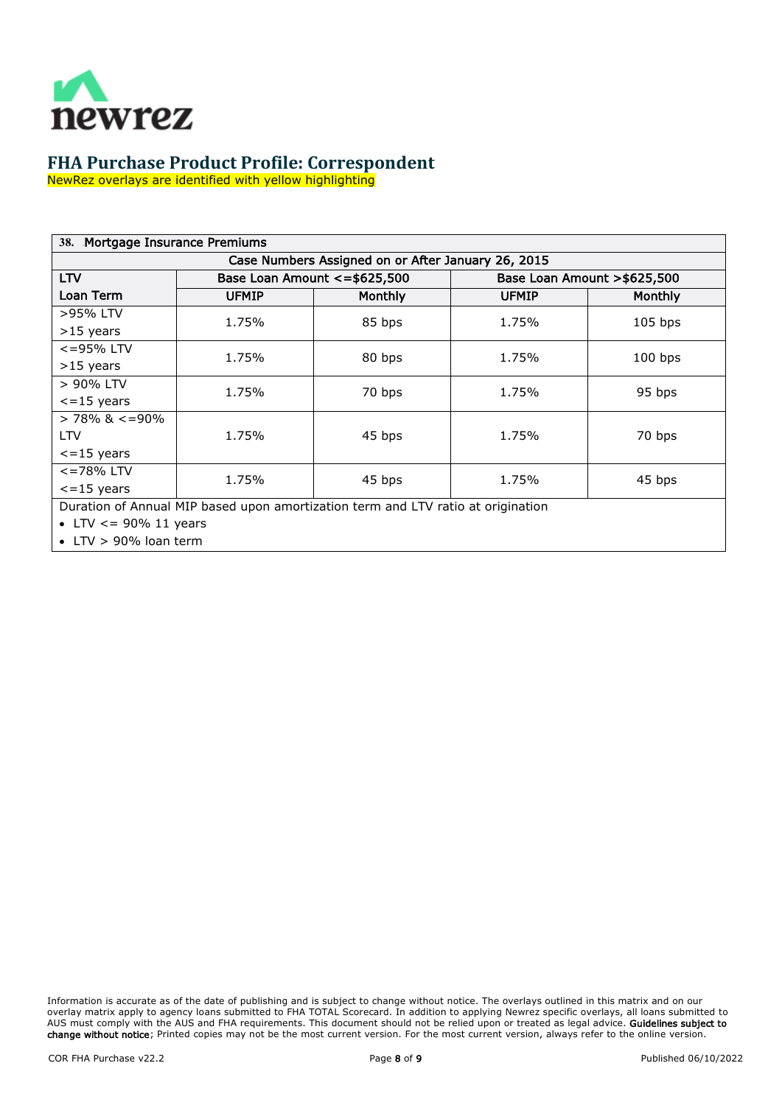

NewRez overlays are identified with yellow highlighting

<span id="page-7-0"></span>

| Mortgage Insurance Premiums<br><b>38.</b>                                        |                               |         |              |                              |  |  |
|----------------------------------------------------------------------------------|-------------------------------|---------|--------------|------------------------------|--|--|
| Case Numbers Assigned on or After January 26, 2015                               |                               |         |              |                              |  |  |
| <b>LTV</b>                                                                       | Base Loan Amount <= \$625,500 |         |              | Base Loan Amount > \$625,500 |  |  |
| Loan Term                                                                        | <b>UFMIP</b>                  | Monthly | <b>UFMIP</b> | Monthly                      |  |  |
| >95% LTV                                                                         | 1.75%                         | 85 bps  | 1.75%        | $105$ bps                    |  |  |
| $>15$ years                                                                      |                               |         |              |                              |  |  |
| $\epsilon$ =95% LTV                                                              | 1.75%                         | 80 bps  | 1.75%        | $100$ bps                    |  |  |
| $>15$ years                                                                      |                               |         |              |                              |  |  |
| $>90\%$ LTV                                                                      | 1.75%                         | 70 bps  | 1.75%        | 95 bps                       |  |  |
| $\epsilon$ =15 years                                                             |                               |         |              |                              |  |  |
| $>$ 78% & $\lt$ =90%                                                             |                               |         |              |                              |  |  |
| <b>LTV</b>                                                                       | 1.75%                         | 45 bps  | 1.75%        | 70 bps                       |  |  |
| $\epsilon$ =15 years                                                             |                               |         |              |                              |  |  |
| $<$ =78% LTV                                                                     | 1.75%                         | 45 bps  | 1.75%        | 45 bps                       |  |  |
| $\epsilon$ =15 years                                                             |                               |         |              |                              |  |  |
| Duration of Annual MIP based upon amortization term and LTV ratio at origination |                               |         |              |                              |  |  |

• LTV  $\lt$  = 90% 11 years

• LTV > 90% loan term